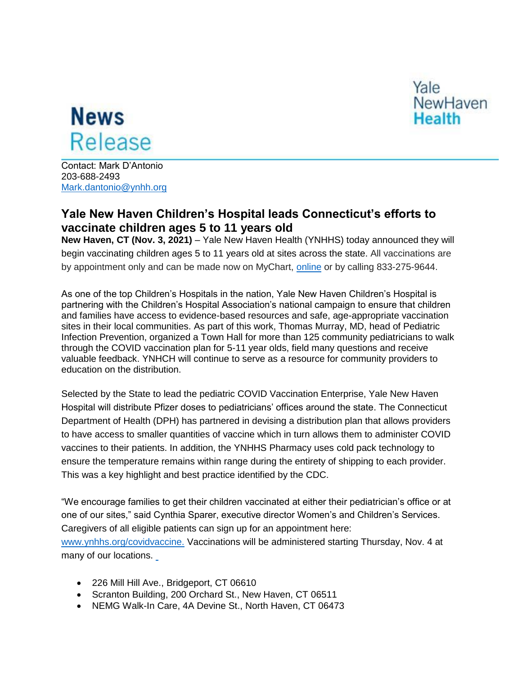

## **News** Release

Contact: Mark D'Antonio 203-688-2493 [Mark.dantonio@ynhh.org](mailto:Mark.dantonio@ynhh.org)

## **Yale New Haven Children's Hospital leads Connecticut's efforts to vaccinate children ages 5 to 11 years old**

**New Haven, CT (Nov. 3, 2021)** – Yale New Haven Health (YNHHS) today announced they will begin vaccinating children ages 5 to 11 years old at sites across the state. All vaccinations are by appointment only and can be made now on MyChart, [online](https://www.ynhhs.org/patient-care/covid-19/Vaccine/get-your-covid-vaccine) or by calling 833-275-9644.

As one of the top Children's Hospitals in the nation, Yale New Haven Children's Hospital is partnering with the Children's Hospital Association's national campaign to ensure that children and families have access to evidence-based resources and safe, age-appropriate vaccination sites in their local communities. As part of this work, Thomas Murray, MD, head of Pediatric Infection Prevention, organized a Town Hall for more than 125 community pediatricians to walk through the COVID vaccination plan for 5-11 year olds, field many questions and receive valuable feedback. YNHCH will continue to serve as a resource for community providers to education on the distribution.

Selected by the State to lead the pediatric COVID Vaccination Enterprise, Yale New Haven Hospital will distribute Pfizer doses to pediatricians' offices around the state. The Connecticut Department of Health (DPH) has partnered in devising a distribution plan that allows providers to have access to smaller quantities of vaccine which in turn allows them to administer COVID vaccines to their patients. In addition, the YNHHS Pharmacy uses cold pack technology to ensure the temperature remains within range during the entirety of shipping to each provider. This was a key highlight and best practice identified by the CDC.

"We encourage families to get their children vaccinated at either their pediatrician's office or at one of our sites," said Cynthia Sparer, executive director Women's and Children's Services. Caregivers of all eligible patients can sign up for an appointment here: [www.ynhhs.org/covidvaccine.](https://covidvaccine.ynhh.org/) Vaccinations will be administered starting Thursday, Nov. 4 at many of our locations.

- 226 Mill Hill Ave., Bridgeport, CT 06610
- Scranton Building, 200 Orchard St., New Haven, CT 06511
- NEMG Walk-In Care, 4A Devine St., North Haven, CT 06473